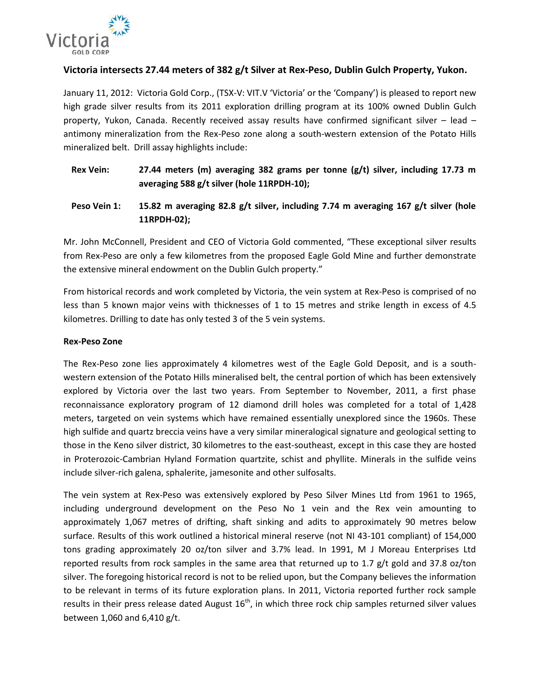

## **Victoria intersects 27.44 meters of 382 g/t Silver at Rex-Peso, Dublin Gulch Property, Yukon.**

January 11, 2012: Victoria Gold Corp., (TSX-V: VIT.V 'Victoria' or the 'Company') is pleased to report new high grade silver results from its 2011 exploration drilling program at its 100% owned Dublin Gulch property, Yukon, Canada. Recently received assay results have confirmed significant silver – lead – antimony mineralization from the Rex-Peso zone along a south-western extension of the Potato Hills mineralized belt. Drill assay highlights include:

- **Rex Vein: 27.44 meters (m) averaging 382 grams per tonne (g/t) silver, including 17.73 m averaging 588 g/t silver (hole 11RPDH-10);**
- **Peso Vein 1: 15.82 m averaging 82.8 g/t silver, including 7.74 m averaging 167 g/t silver (hole 11RPDH-02);**

Mr. John McConnell, President and CEO of Victoria Gold commented, "These exceptional silver results from Rex-Peso are only a few kilometres from the proposed Eagle Gold Mine and further demonstrate the extensive mineral endowment on the Dublin Gulch property."

From historical records and work completed by Victoria, the vein system at Rex-Peso is comprised of no less than 5 known major veins with thicknesses of 1 to 15 metres and strike length in excess of 4.5 kilometres. Drilling to date has only tested 3 of the 5 vein systems.

#### **Rex-Peso Zone**

The Rex-Peso zone lies approximately 4 kilometres west of the Eagle Gold Deposit, and is a southwestern extension of the Potato Hills mineralised belt, the central portion of which has been extensively explored by Victoria over the last two years. From September to November, 2011, a first phase reconnaissance exploratory program of 12 diamond drill holes was completed for a total of 1,428 meters, targeted on vein systems which have remained essentially unexplored since the 1960s. These high sulfide and quartz breccia veins have a very similar mineralogical signature and geological setting to those in the Keno silver district, 30 kilometres to the east-southeast, except in this case they are hosted in Proterozoic-Cambrian Hyland Formation quartzite, schist and phyllite. Minerals in the sulfide veins include silver-rich galena, sphalerite, jamesonite and other sulfosalts.

The vein system at Rex-Peso was extensively explored by Peso Silver Mines Ltd from 1961 to 1965, including underground development on the Peso No 1 vein and the Rex vein amounting to approximately 1,067 metres of drifting, shaft sinking and adits to approximately 90 metres below surface. Results of this work outlined a historical mineral reserve (not NI 43-101 compliant) of 154,000 tons grading approximately 20 oz/ton silver and 3.7% lead. In 1991, M J Moreau Enterprises Ltd reported results from rock samples in the same area that returned up to 1.7  $g/t$  gold and 37.8 oz/ton silver. The foregoing historical record is not to be relied upon, but the Company believes the information to be relevant in terms of its future exploration plans. In 2011, Victoria reported further rock sample results in their press release dated August  $16<sup>th</sup>$ , in which three rock chip samples returned silver values between 1,060 and 6,410 g/t.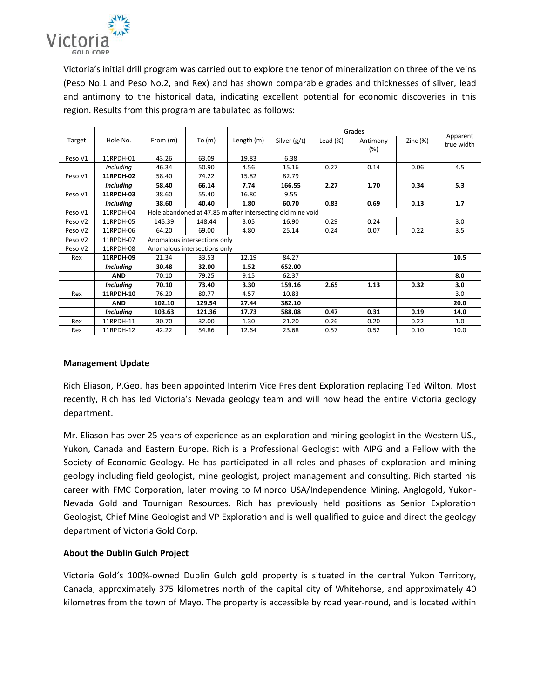

Victoria's initial drill program was carried out to explore the tenor of mineralization on three of the veins (Peso No.1 and Peso No.2, and Rex) and has shown comparable grades and thicknesses of silver, lead and antimony to the historical data, indicating excellent potential for economic discoveries in this region. Results from this program are tabulated as follows:

| Target  | Hole No.         | From $(m)$                                                 | To $(m)$ | Length (m) | Grades       |             |                    |            |                        |
|---------|------------------|------------------------------------------------------------|----------|------------|--------------|-------------|--------------------|------------|------------------------|
|         |                  |                                                            |          |            | Silver (g/t) | Lead $(\%)$ | Antimony<br>$(\%)$ | Zinc $(%)$ | Apparent<br>true width |
| Peso V1 | 11RPDH-01        | 43.26                                                      | 63.09    | 19.83      | 6.38         |             |                    |            |                        |
|         | <b>Including</b> | 46.34                                                      | 50.90    | 4.56       | 15.16        | 0.27        | 0.14               | 0.06       | 4.5                    |
| Peso V1 | 11RPDH-02        | 58.40                                                      | 74.22    | 15.82      | 82.79        |             |                    |            |                        |
|         | <b>Including</b> | 58.40                                                      | 66.14    | 7.74       | 166.55       | 2.27        | 1.70               | 0.34       | 5.3                    |
| Peso V1 | 11RPDH-03        | 38.60                                                      | 55.40    | 16.80      | 9.55         |             |                    |            |                        |
|         | <b>Including</b> | 38.60                                                      | 40.40    | 1.80       | 60.70        | 0.83        | 0.69               | 0.13       | 1.7                    |
| Peso V1 | 11RPDH-04        | Hole abandoned at 47.85 m after intersecting old mine void |          |            |              |             |                    |            |                        |
| Peso V2 | 11RPDH-05        | 145.39                                                     | 148.44   | 3.05       | 16.90        | 0.29        | 0.24               |            | 3.0                    |
| Peso V2 | 11RPDH-06        | 64.20                                                      | 69.00    | 4.80       | 25.14        | 0.24        | 0.07               | 0.22       | 3.5                    |
| Peso V2 | 11RPDH-07        | Anomalous intersections only                               |          |            |              |             |                    |            |                        |
| Peso V2 | 11RPDH-08        | Anomalous intersections only                               |          |            |              |             |                    |            |                        |
| Rex     | 11RPDH-09        | 21.34                                                      | 33.53    | 12.19      | 84.27        |             |                    |            | 10.5                   |
|         | <b>Including</b> | 30.48                                                      | 32.00    | 1.52       | 652.00       |             |                    |            |                        |
|         | <b>AND</b>       | 70.10                                                      | 79.25    | 9.15       | 62.37        |             |                    |            | 8.0                    |
|         | <b>Including</b> | 70.10                                                      | 73.40    | 3.30       | 159.16       | 2.65        | 1.13               | 0.32       | 3.0                    |
| Rex     | 11RPDH-10        | 76.20                                                      | 80.77    | 4.57       | 10.83        |             |                    |            | 3.0                    |
|         | <b>AND</b>       | 102.10                                                     | 129.54   | 27.44      | 382.10       |             |                    |            | 20.0                   |
|         | <b>Including</b> | 103.63                                                     | 121.36   | 17.73      | 588.08       | 0.47        | 0.31               | 0.19       | 14.0                   |
| Rex     | 11RPDH-11        | 30.70                                                      | 32.00    | 1.30       | 21.20        | 0.26        | 0.20               | 0.22       | 1.0                    |
| Rex     | 11RPDH-12        | 42.22                                                      | 54.86    | 12.64      | 23.68        | 0.57        | 0.52               | 0.10       | 10.0                   |

#### **Management Update**

Rich Eliason, P.Geo. has been appointed Interim Vice President Exploration replacing Ted Wilton. Most recently, Rich has led Victoria's Nevada geology team and will now head the entire Victoria geology department.

Mr. Eliason has over 25 years of experience as an exploration and mining geologist in the Western US., Yukon, Canada and Eastern Europe. Rich is a Professional Geologist with AIPG and a Fellow with the Society of Economic Geology. He has participated in all roles and phases of exploration and mining geology including field geologist, mine geologist, project management and consulting. Rich started his career with FMC Corporation, later moving to Minorco USA/Independence Mining, Anglogold, Yukon-Nevada Gold and Tournigan Resources. Rich has previously held positions as Senior Exploration Geologist, Chief Mine Geologist and VP Exploration and is well qualified to guide and direct the geology department of Victoria Gold Corp.

#### **About the Dublin Gulch Project**

Victoria Gold's 100%-owned Dublin Gulch gold property is situated in the central Yukon Territory, Canada, approximately 375 kilometres north of the capital city of Whitehorse, and approximately 40 kilometres from the town of Mayo. The property is accessible by road year-round, and is located within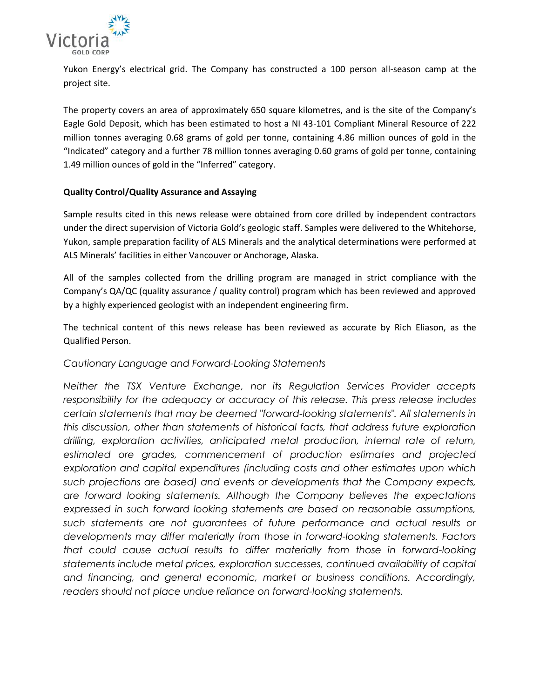

Yukon Energy's electrical grid. The Company has constructed a 100 person all-season camp at the project site.

The property covers an area of approximately 650 square kilometres, and is the site of the Company's Eagle Gold Deposit, which has been estimated to host a NI 43-101 Compliant Mineral Resource of 222 million tonnes averaging 0.68 grams of gold per tonne, containing 4.86 million ounces of gold in the "Indicated" category and a further 78 million tonnes averaging 0.60 grams of gold per tonne, containing 1.49 million ounces of gold in the "Inferred" category.

### **Quality Control/Quality Assurance and Assaying**

Sample results cited in this news release were obtained from core drilled by independent contractors under the direct supervision of Victoria Gold's geologic staff. Samples were delivered to the Whitehorse, Yukon, sample preparation facility of ALS Minerals and the analytical determinations were performed at ALS Minerals' facilities in either Vancouver or Anchorage, Alaska.

All of the samples collected from the drilling program are managed in strict compliance with the Company's QA/QC (quality assurance / quality control) program which has been reviewed and approved by a highly experienced geologist with an independent engineering firm.

The technical content of this news release has been reviewed as accurate by Rich Eliason, as the Qualified Person.

# *Cautionary Language and Forward-Looking Statements*

*Neither the TSX Venture Exchange, nor its Regulation Services Provider accepts responsibility for the adequacy or accuracy of this release. This press release includes certain statements that may be deemed "forward-looking statements". All statements in this discussion, other than statements of historical facts, that address future exploration drilling, exploration activities, anticipated metal production, internal rate of return, estimated ore grades, commencement of production estimates and projected exploration and capital expenditures (including costs and other estimates upon which such projections are based) and events or developments that the Company expects, are forward looking statements. Although the Company believes the expectations expressed in such forward looking statements are based on reasonable assumptions, such statements are not guarantees of future performance and actual results or developments may differ materially from those in forward-looking statements. Factors that could cause actual results to differ materially from those in forward-looking statements include metal prices, exploration successes, continued availability of capital and financing, and general economic, market or business conditions. Accordingly, readers should not place undue reliance on forward-looking statements.*